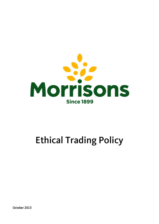

# Ethical Trading Policy

October 2015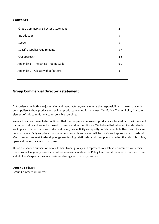## **Contents**

| Group Commercial Director's statement | 2       |
|---------------------------------------|---------|
| Introduction                          | 3       |
| Scope                                 | 3       |
| Specific supplier requirements        | $3 - 4$ |
| Our approach                          | $4 - 5$ |
| Appendix 1 - The Ethical Trading Code | $6 - 7$ |
| Appendix 2 - Glossary of definitions  | 8       |
|                                       |         |

# **Group Commercial Director's statement**

At Morrisons, as both a major retailer and manufacturer, we recognise the responsibility that we share with our suppliers to buy, produce and sell our products in an ethical manner. Our Ethical Trading Policy is a core element of this commitment to responsible sourcing.

We want our customers to be confident that the people who make our products are treated fairly, with respect for human rights and are not exposed to unsafe working conditions. We believe that when ethical standards are in place, this can improve worker wellbeing, productivity and quality, which benefits both our suppliers and our customers. Only suppliers that share our standards and values will be considered appropriate to trade with Morrisons and we seek to develop long-term trading relationships with suppliers based on the principle of fair, open and honest dealings at all times.

This is the second publication of our Ethical Trading Policy and represents our latest requirements on ethical trade. We will regularly review and, where necessary, update the Policy to ensure it remains responsive to our stakeholders' expectations, our business strategy and industry practice.

## Darren Blackhurst

Group Commercial Director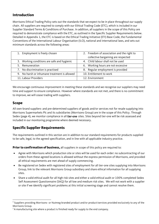# **Introduction**

Morrisons Ethical Trading Policy sets out the standards that we expect to be in place throughout our supply chain. All suppliers are required to comply with our Ethical Trading Code (ETC), which is included in our Supplier Standard Terms & Conditions of Purchase. In addition, all suppliers in the scope of this Policy are required to demonstrate compliance with the ETC, as outlined in the Specific Supplier Requirements below. Detailed in Appendix 1, the ETC is based on the Ethical Trading Initiative (ETI) Base Code, the Fundamental Conventions of the International Labour Organisation (ILO), national and international laws, and sets out minimum standards across the following areas:

| 1. Employment is freely chosen               | 2. Freedom of association and the right to |
|----------------------------------------------|--------------------------------------------|
|                                              | collective bargaining are respected        |
| 3. Working conditions are safe and hygienic  | 4. Child labour shall not be used          |
| 5. Remuneration                              | 6. Working hours are not excessive         |
| 7. No discrimination is practised            | 8. Regular employment is provided          |
| 9. No harsh or inhumane treatment is allowed | 10. Entitlement to work                    |
| 11. Labour Providers                         | 12. Environment                            |

We encourage continuous improvement in meeting these standards and we recognise our suppliers may need time and support to ensure compliance. However where standards are not met, and there is no commitment to improve, we will cease trading with suppliers.

# **Scope**

 $\overline{a}$ 

All own-brand suppliers and pre-determined suppliers of goods and/or services not for resale supplying into Morrisons Supermarkets Plc and its subsidiaries (Morrisons Group) are in the scope of this Policy. Through Sedex (page 4), we monitor compliance in all tier-one sites. Sites beyond tier-one will be risk assessed and included in our monitoring programme where deemed necessary.

# **Specific Supplier Requirements**

The requirements outlined in this section are in addition to our standard requirements for products supplied to be safe, legal, to the agreed specification, and in line with all applicable industry practice.

**Prior to confirmation of business,** all suppliers in scope of this policy are required to:

- Agree with Morrisons which production site or sites will be used for each order: no subcontracting of our orders from these agreed locations is allowed without the express permission of Morrisons, and provided all ethical requirements are met ahead of supply commencing.
- Be registered on Sedex with registered sites of employment for all tier-one sites supplying into Morrisons Group, link to the relevant Morrisons Group subsidiary and share ethical information for all supplying sites.
- Share a valid ethical audit for all high risk sites and either a valid ethical audit or 100% completed Sedex Self Assessment Questionnaire (SAQ) for all low and medium risk sites. We will not work with a supplier or site if we identify significant problems at this initial screening stage and cannot resolve them.

 $^{\rm 1}$  Suppliers providing Morrisons- or Nutmeg-branded product and/or product/services provided exclusively to any of the Morrisons Group.

 $2A$  manufacturing site where a product is finished ready for supply to the end company.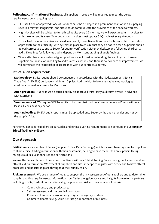**Following confirmation of business,** all suppliers in scope will be required to meet the below requirements on an ongoing basis**:**

- ETI Base Code or approved Code of Conduct must be displayed in a prominent position in all supplying sites in a relevant language(s) and sites should communicate the provisions of the code to workers.
- High risk sites will be subject to full ethical audits every 12 months; we will expect medium risk sites to undertake full audits every 24 months; low risk sites must update SAQs at least every 6 months.
- For each of the non-compliances raised in an audit, corrective actions must be taken within timescales appropriate to the criticality, with systems in place to ensure that they do not re-occur. Suppliers should upload corrective actions to Sedex for auditor verification either by desktop or a follow-up third-party audit. Deadlines for follow-up audits depend on Morrisons grading of audit findings.
- Where sites have demonstrated good practice we will consider extending the audit cycle. However, if suppliers are unable or unwilling to address critical issues, and there is no evidence of improvement, we will terminate the relationship in accordance with our contractual terms.

## **Ethical audit requirements**

**Methodology**: Ethical audits should be conducted in accordance with the 'Sedex Members Ethical Trade Audit' (SMETA) guidance – minimum 2 pillar. Audits which follow alternative methodologies must be approved in advance by Morrisons.

**Audit providers:** Audits must be carried out by an approved third-party audit firm agreed in advance with Morrisons.

Semi-announced: We require SMETA audits to be commissioned on a "semi-announced" basis within at least a 15 business day period.

**Audit uploading**: SMETA audit reports must be uploaded onto Sedex by the audit provider and not by the supplier/site.

Further guidance for suppliers on our Sedex and ethical auditing requirements can be found in our Supplier Ethical Trading Handbook.

# **Our Approach**

**Sedex:** We are a member of Sedex (Supplier Ethical Data Exchange) which is a web-based system for suppliers to share ethical trading information with their customers, helping to ease the burden on suppliers facing multiple audits, questionnaires and certifications.

We use the Sedex platform to monitor compliance with our Ethical Trading Policy through self-assessment and ethical audit information. We expect all suppliers and sites in scope to register with Sedex and to have ethical processes and policies in place throughout their supply chain.

**Risk assessment:** We use a range of tools, to support the risk assessment of our suppliers and to determine supplier auditing requirements. Information from Sedex alongside advice and insights from external partners including NGOs, Trade Unions and industry, help us assess risk across a number of criteria:

- Country, industry and product area
- Self Assessment and site profile information
- Presence of vulnerable workers e.g. migrant or agency workers
- Commercial factors (e.g. value & strategic importance of business)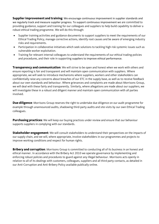**Supplier improvement and training**: We encourage continuous improvement in supplier standards and we regularly track and measure supplier progress. To support continuous improvement we are committed to providing guidance, support and training for our colleagues and suppliers to help build capability to deliver a robust ethical trading programme. We will do this through:

- Supplier training activities and guidance documents to support suppliers to meet the requirements of our Ethical Trading Policy, manage corrective actions, identify root causes and be aware of emerging industry risks and requirements.
- Participation in collaborative initiatives which seek solutions to tackling high risk systemic issues such as vulnerable worker exploitation.
- Training for relevant internal colleagues to understand the requirements of our ethical trading policies and procedures, and their role in supporting suppliers to improve ethical performance.

**Transparency and communication**: We will strive to be open and honest when we work with others and ensure reporting is fair and transparent and will maintain open communication with suppliers. Where appropriate, we will seek to introduce mechanisms where suppliers, workers and other stakeholders can confidentially raise any concerns about breaches of our ETC in the supply base, as well as to receive feedback about our own standards and behaviour. Where grievances and complaints are made about Morrisons Group, we will deal with these fairly and transparently. Similarly, where allegations are made about our suppliers, we will investigate these in a robust and diligent manner and maintain open communication with all parties involved.

**Due diligence**: Morrisons Group reserves the right to undertake due diligence on our audit programme for example through unannounced audits, shadowing third-party audits and site visits by our own Ethical Trading colleagues.

**Purchasing practices**: We will keep our buying practices under review and ensure that our behaviour supports suppliers in complying with our standards.

**Stakeholder engagement**: We will consult stakeholders to understand their perspectives on the impacts of our supply chain, and we will, where appropriate, involve stakeholders in our programmes and projects to improve working conditions and respect for human rights.

**Bribery and corruption**: Morrisons Group is committed to conducting all of its business in an honest and ethical manner. In accordance with the Bribery Act 2010 we operate governance by implementing and enforcing robust policies and procedures to guard against any illegal behaviour. Morrisons acts openly in relation to all of its dealings with customers, colleagues, suppliers and all third party contacts, as detailed in our Anti-Corruption and Anti-Bribery Policy available publically online.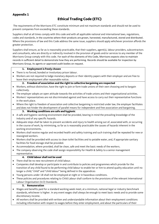## **Appendix 1**

# **Ethical Trading Code (ETC)**

The requirements of the Morrisons ETC constitute minimum and not maximum standards and should not be used to prevent companies from exceeding these standards.

Suppliers shall at all times comply with this code and with all applicable national and international laws, regulations, codes and standards, in the countries where their products are grown, harvested, manufactured, stored and distributed. Where the provisions of law and this Code address the same issue, suppliers should apply whichever provision affords the greater protection.

Suppliers shall ensure, as far as is reasonably practicable, that their suppliers, agent(s), labour providers, subcontractors and consultants, who are directly or indirectly involved in the provision of goods and/or services to any member of the Morrisons Group comply with this code. For each of the elements of this Code, Morrisons expects sites to maintain records in sufficient detail to demonstrate how they are performing. Records should be available for inspection by Morrisons Group, its agents or approved audit bodies on request.

#### **1. Employment is freely chosen**

- There is no forced, bonded or involuntary prison labour.
- Workers are not required to lodge monetary deposits or their identity papers with their employer and are free to leave their employment after reasonable notice.

## **2. Freedom of association and the right to collective bargaining are respected**

- Workers, without distinction, have the right to join or form trade unions of their own choosing and to bargain collectively.
- The employer adopts an open attitude towards the activities of trade unions and their organisational activities.
- Workers' representatives are not discriminated against and have access to carry out their representative functions in the work place.
- Where the right to freedom of association and collective bargaining is restricted under law, the employer facilitates and does not hinder the development of parallel means for independent and free association and bargaining.

#### **3. Working conditions are safe and hygienic**

- A safe and hygienic working environment shall be provided, bearing in mind the prevailing knowledge of the industry and of any specific hazards.
- Adequate steps shall be taken to prevent accidents and injury to health arising out of, associated with, or occurring in the course of work, by minimising, so far as is reasonably practicable the causes of hazards inherent in the working environments.
- Workers shall receive regular and recorded health and safety training and such training shall be repeated for new or reassigned workers.
- Workers shall be provided with access to clean toilet facilities and to potable water, and, if appropriate sanitary facilities for food storage shall be provided.
- Accommodation, where provided, shall be clean, safe and meet the basic needs of the workers.
- The company observing the code shall assign responsibility for Health & Safety to a senior management representative.

#### **4. Child labour shall not be used**

- There shall be no new recruitment of child labour.
- Companies shall develop or participate in and contribute to policies and programmes which provide for the transition of any child found to be performing child labour to enable her or him to attend quality education until no longer a child; "child" and "child labour" being defined in the appendices
- Young persons under 18 shall not be employed at night or in hazardous conditions.
- These policies and procedures relating to Child Labour shall conform to the provisions of the relevant International Labour Organisation (ILO) Standards.

#### **5. Remuneration**

- Wages and benefits paid for a standard working week meet, at a minimum, national legal or industry benchmark standards, whichever is higher. In any event wages shall always be enough to meet basic needs and to provide some discretionary income.
- All workers shall be provided with written and understandable information about their employment conditions including information with respect to wages before they enter employment, and about the particulars of their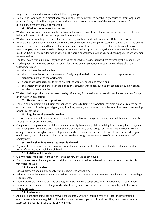wages for the pay period concerned each time they are paid.

 Deductions from wages as a disciplinary measure shall not be permitted nor shall any deductions from wages not provided for by national law be permitted without the expressed permission of the worker concerned. All disciplinary measures should be recorded.

#### **6. Working hours are not excessive**

- Working hours must comply with national laws, collective agreements, and the provisions defined in the clauses below, whichever affords the greater protection for workers.
- Working hours, excluding overtime, shall be defined by contract, and shall not exceed 48 hours per week.
- All overtime shall be voluntary. Overtime shall be used responsibly, taking into account all the following: the extent, frequency and hours worked by individual workers and the workforce as a whole. It shall not be used to replace regular employment. Overtime shall always be compensated at a premium rate, which is recommended to be not less than 125% of the regular rate of pay, except where a consolidated rate of pay has been negotiated with worker representation.
- The total hours worked in any 7 day period shall not exceed 60 hours, except where covered by the clause below.
- Working hours may exceed 60 hours in any 7 day period only in exceptional circumstances where all of the following are met:
	- o this is allowed by national law;
	- $\circ$  this is allowed by a collective agreement freely negotiated with a workers' organisation representing a significant portion of the workforce;
	- o appropriate safeguards are taken to protect the workers' health and safety; and
	- $\circ$  the employer can demonstrate that exceptional circumstances apply such as unexpected production peaks, accidents or emergencies.
- Workers shall be provided with at least one day off in every 7 day period or, where allowed by national law, 2 days off in every 14 day period.

#### **7. No discrimination is practised**

 There is no discrimination in hiring, compensation, access to training, promotion, termination or retirement based on race, caste, national origin, religion, age, disability, gender, marital status, sexual orientation, union membership or political affiliation.

#### **8. Regular employment is provided**

- To every extent possible work performed must be on the basis of recognised employment relationships established through national law and practice.
- Obligations to employees under labour or social security laws and regulations arising from the regular employment relationship shall not be avoided through the use of labour-only contracting, sub-contracting and home-working arrangements, or through apprenticeship schemes where there is no real intent to impart skills or provide regular employment, nor shall any such obligations be avoided through the excessive use of fixed-term contracts of employment.

#### **9. No harsh or inhumane treatment is allowed**

 Physical abuse or discipline, the threat of physical abuse, sexual or other harassment and verbal abuse or other forms of intimidations shall be prohibited.

#### **10. Entitlement to work**

- Only workers with a legal right to work in the country should be employed.
- For both workers and agency workers, original documents should be reviewed and then returned to workers to verify right to work.

## **11. Labour Providers**

- Labour providers should only supply workers registered with them.
- Relationships with Labour providers should be covered by a Service Level Agreement which meets all national legal requirements.
- Labour providers should be audited on a regular basis to ensure compliance with all national legal requirements.
- Labour providers should not charge workers for finding them a job or for services that are integral to the workfinding process.

## **12. Environment**

 At a minimum, suppliers, sites and growers must comply with the requirements of all local and international environmental laws and regulations including having necessary permits. In addition, they must meet all relevant Morrisons standards relating to the environment.